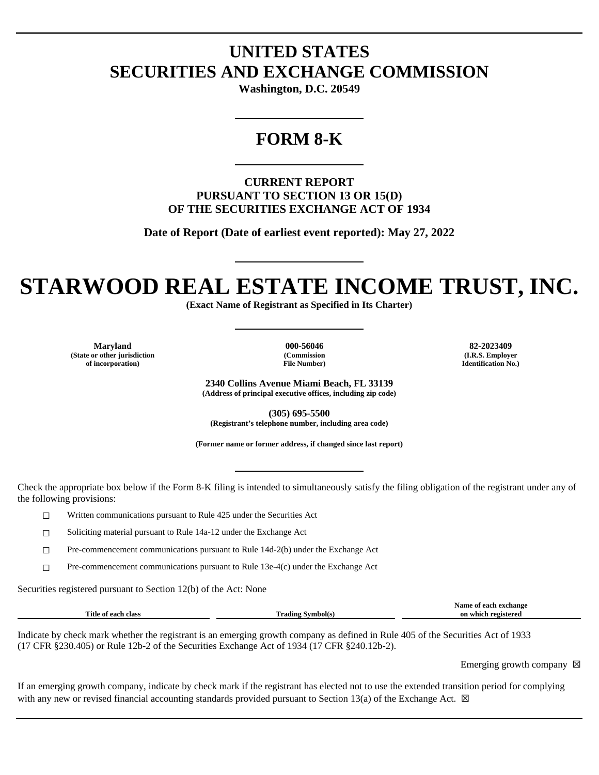## **UNITED STATES SECURITIES AND EXCHANGE COMMISSION**

**Washington, D.C. 20549**

### **FORM 8-K**

**CURRENT REPORT PURSUANT TO SECTION 13 OR 15(D) OF THE SECURITIES EXCHANGE ACT OF 1934**

**Date of Report (Date of earliest event reported): May 27, 2022**

# **STARWOOD REAL ESTATE INCOME TRUST, INC.**

**(Exact Name of Registrant as Specified in Its Charter)**

**Maryland 000-56046 82-2023409 (State or other jurisdiction of incorporation)**

**(Commission File Number)**

**(I.R.S. Employer Identification No.)**

**2340 Collins Avenue Miami Beach, FL 33139 (Address of principal executive offices, including zip code)**

**(305) 695-5500 (Registrant's telephone number, including area code)**

**(Former name or former address, if changed since last report)**

Check the appropriate box below if the Form 8-K filing is intended to simultaneously satisfy the filing obligation of the registrant under any of the following provisions:

☐ Written communications pursuant to Rule 425 under the Securities Act

☐ Soliciting material pursuant to Rule 14a-12 under the Exchange Act

☐ Pre-commencement communications pursuant to Rule 14d-2(b) under the Exchange Act

 $\Box$  Pre-commencement communications pursuant to Rule 13e-4(c) under the Exchange Act

Securities registered pursuant to Section 12(b) of the Act: None

|                                                          |                | Name<br>^vehanoe<br> |
|----------------------------------------------------------|----------------|----------------------|
| Title .<br>clas.<br>. $\alpha\alpha\alpha$<br>Оf<br>-211 | m<br>`rading . | registered<br>which  |
|                                                          |                |                      |

Indicate by check mark whether the registrant is an emerging growth company as defined in Rule 405 of the Securities Act of 1933 (17 CFR §230.405) or Rule 12b-2 of the Securities Exchange Act of 1934 (17 CFR §240.12b-2).

Emerging growth company  $\boxtimes$ 

If an emerging growth company, indicate by check mark if the registrant has elected not to use the extended transition period for complying with any new or revised financial accounting standards provided pursuant to Section 13(a) of the Exchange Act.  $\boxtimes$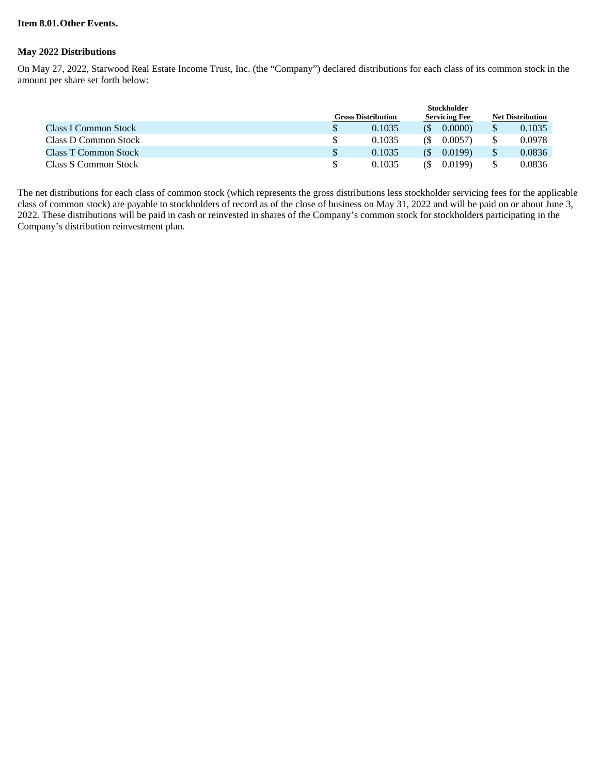#### **Item 8.01.Other Events.**

#### **May 2022 Distributions**

On May 27, 2022, Starwood Real Estate Income Trust, Inc. (the "Company") declared distributions for each class of its common stock in the amount per share set forth below:

|                             | <b>Stockholder</b>        |                      |  |                         |  |
|-----------------------------|---------------------------|----------------------|--|-------------------------|--|
|                             | <b>Gross Distribution</b> | <b>Servicing Fee</b> |  | <b>Net Distribution</b> |  |
| <b>Class I Common Stock</b> | 0.1035                    | 0.0000<br><b>(S</b>  |  | 0.1035                  |  |
| Class D Common Stock        | 0.1035                    | 0.0057<br>GS)        |  | 0.0978                  |  |
| <b>Class T Common Stock</b> | 0.1035                    | 0.0199<br>(\$        |  | 0.0836                  |  |
| Class S Common Stock        | 0.1035                    | 0.0199<br>(S         |  | 0.0836                  |  |

The net distributions for each class of common stock (which represents the gross distributions less stockholder servicing fees for the applicable class of common stock) are payable to stockholders of record as of the close of business on May 31, 2022 and will be paid on or about June 3, 2022. These distributions will be paid in cash or reinvested in shares of the Company's common stock for stockholders participating in the Company's distribution reinvestment plan.